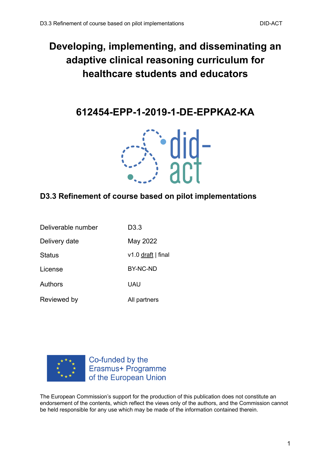# **Developing, implementing, and disseminating an adaptive clinical reasoning curriculum for healthcare students and educators**

**612454-EPP-1-2019-1-DE-EPPKA2-KA**



### **D3.3 Refinement of course based on pilot implementations**

| Deliverable number | D3.3               |
|--------------------|--------------------|
| Delivery date      | May 2022           |
| <b>Status</b>      | v1.0 draft   final |
| License            | BY-NC-ND           |
| Authors            | UAU                |
| Reviewed by        | All partners       |



Co-funded by the Erasmus+ Programme of the European Union

The European Commission's support for the production of this publication does not constitute an endorsement of the contents, which reflect the views only of the authors, and the Commission cannot be held responsible for any use which may be made of the information contained therein.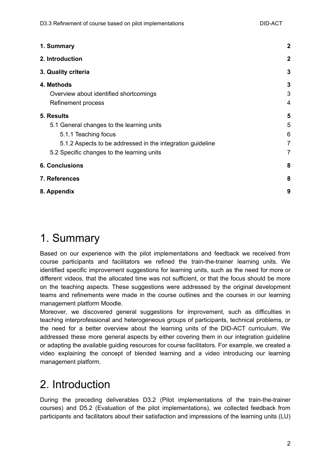| 1. Summary                                                 | $\boldsymbol{2}$ |
|------------------------------------------------------------|------------------|
| 2. Introduction                                            | $\mathbf{2}$     |
| 3. Quality criteria                                        | $\mathbf{3}$     |
| 4. Methods<br>Overview about identified shortcomings       | 3<br>3           |
| Refinement process                                         | 4                |
| 5. Results                                                 | 5                |
| 5.1 General changes to the learning units                  | 5                |
| 5.1.1 Teaching focus                                       | 6                |
| 5.1.2 Aspects to be addressed in the integration guideline | $\overline{7}$   |
| 5.2 Specific changes to the learning units                 | 7                |
| <b>6. Conclusions</b>                                      | 8                |
| 7. References                                              | 8                |
| 8. Appendix                                                | 9                |

# <span id="page-1-0"></span>1. Summary

Based on our experience with the pilot implementations and feedback we received from course participants and facilitators we refined the train-the-trainer learning units. We identified specific improvement suggestions for learning units, such as the need for more or different videos, that the allocated time was not sufficient, or that the focus should be more on the teaching aspects. These suggestions were addressed by the original development teams and refinements were made in the course outlines and the courses in our learning management platform Moodle.

Moreover, we discovered general suggestions for improvement, such as difficulties in teaching interprofessional and heterogeneous groups of participants, technical problems, or the need for a better overview about the learning units of the DID-ACT curriculum. We addressed these more general aspects by either covering them in our integration guideline or adapting the available guiding resources for course facilitators. For example, we created a video explaining the concept of blended learning and a video introducing our learning management platform.

# <span id="page-1-1"></span>2. Introduction

During the preceding deliverables D3.2 (Pilot implementations of the train-the-trainer courses) and D5.2 (Evaluation of the pilot implementations), we collected feedback from participants and facilitators about their satisfaction and impressions of the learning units (LU)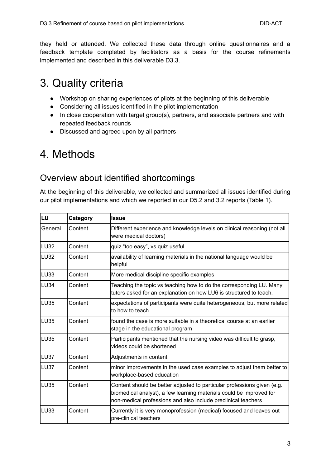they held or attended. We collected these data through online questionnaires and a feedback template completed by facilitators as a basis for the course refinements implemented and described in this deliverable D3.3.

# <span id="page-2-0"></span>3. Quality criteria

- Workshop on sharing experiences of pilots at the beginning of this deliverable
- Considering all issues identified in the pilot implementation
- In close cooperation with target group(s), partners, and associate partners and with repeated feedback rounds
- Discussed and agreed upon by all partners

# <span id="page-2-1"></span>4. Methods

## <span id="page-2-2"></span>Overview about identified shortcomings

At the beginning of this deliverable, we collected and summarized all issues identified during our pilot implementations and which we reported in our D5.2 and 3.2 reports (Table 1).

| LU               | Category | <b>Issue</b>                                                                                                                                                                                                    |
|------------------|----------|-----------------------------------------------------------------------------------------------------------------------------------------------------------------------------------------------------------------|
| General          | Content  | Different experience and knowledge levels on clinical reasoning (not all<br>were medical doctors)                                                                                                               |
| LU <sub>32</sub> | Content  | quiz "too easy", vs quiz useful                                                                                                                                                                                 |
| <b>LU32</b>      | Content  | availability of learning materials in the national language would be<br>helpful                                                                                                                                 |
| <b>LU33</b>      | Content  | More medical discipline specific examples                                                                                                                                                                       |
| <b>LU34</b>      | Content  | Teaching the topic vs teaching how to do the corresponding LU. Many<br>tutors asked for an explanation on how LU6 is structured to teach.                                                                       |
| <b>LU35</b>      | Content  | expectations of participants were quite heterogeneous, but more related<br>to how to teach                                                                                                                      |
| <b>LU35</b>      | Content  | found the case is more suitable in a theoretical course at an earlier<br>stage in the educational program                                                                                                       |
| <b>LU35</b>      | Content  | Participants mentioned that the nursing video was difficult to grasp,<br>videos could be shortened                                                                                                              |
| LU37             | Content  | Adjustments in content                                                                                                                                                                                          |
| <b>LU37</b>      | Content  | minor improvements in the used case examples to adjust them better to<br>workplace-based education                                                                                                              |
| <b>LU35</b>      | Content  | Content should be better adjusted to particular professions given (e.g.<br>biomedical analyst), a few learning materials could be improved for<br>non-medical professions and also include preclinical teachers |
| LU33             | Content  | Currently it is very monoprofession (medical) focused and leaves out<br>pre-clinical teachers                                                                                                                   |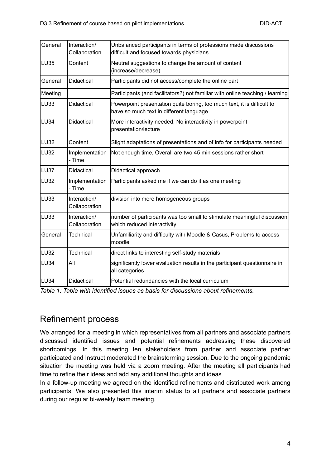| General          | Interaction/<br>Collaboration | Unbalanced participants in terms of professions made discussions<br>difficult and focused towards physicians       |
|------------------|-------------------------------|--------------------------------------------------------------------------------------------------------------------|
| LU <sub>35</sub> | Content                       | Neutral suggestions to change the amount of content<br>(increase/decrease)                                         |
| General          | Didactical                    | Participants did not access/complete the online part                                                               |
| Meeting          |                               | Participants (and facilitators?) not familiar with online teaching / learning                                      |
| LU <sub>33</sub> | Didactical                    | Powerpoint presentation quite boring, too much text, it is difficult to<br>have so much text in different language |
| LU <sub>34</sub> | <b>Didactical</b>             | More interactivity needed, No interactivity in powerpoint<br>presentation/lecture                                  |
| LU32             | Content                       | Slight adaptations of presentations and of info for participants needed                                            |
| LU32             | Implementation<br>- Time      | Not enough time, Overall are two 45 min sessions rather short                                                      |
| LU37             | <b>Didactical</b>             | Didactical approach                                                                                                |
| LU32             | Implementation<br>- Time      | Participants asked me if we can do it as one meeting                                                               |
| LU <sub>33</sub> | Interaction/<br>Collaboration | division into more homogeneous groups                                                                              |
| LU <sub>33</sub> | Interaction/<br>Collaboration | number of participants was too small to stimulate meaningful discussion<br>which reduced interactivity             |
| General          | <b>Technical</b>              | Unfamiliarity and difficulty with Moodle & Casus, Problems to access<br>moodle                                     |
| LU32             | <b>Technical</b>              | direct links to interesting self-study materials                                                                   |
| LU <sub>34</sub> | All                           | significantly lower evaluation results in the participant questionnaire in<br>all categories                       |
| LU <sub>34</sub> | Didactical                    | Potential redundancies with the local curriculum                                                                   |

*Table 1: Table with identified issues as basis for discussions about refinements.*

### <span id="page-3-0"></span>Refinement process

We arranged for a meeting in which representatives from all partners and associate partners discussed identified issues and potential refinements addressing these discovered shortcomings. In this meeting ten stakeholders from partner and associate partner participated and Instruct moderated the brainstorming session. Due to the ongoing pandemic situation the meeting was held via a zoom meeting. After the meeting all participants had time to refine their ideas and add any additional thoughts and ideas.

In a follow-up meeting we agreed on the identified refinements and distributed work among participants. We also presented this interim status to all partners and associate partners during our regular bi-weekly team meeting.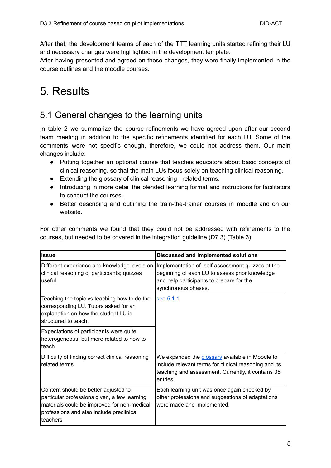After that, the development teams of each of the TTT learning units started refining their LU and necessary changes were highlighted in the development template.

After having presented and agreed on these changes, they were finally implemented in the course outlines and the moodle courses.

# <span id="page-4-0"></span>5. Results

## <span id="page-4-1"></span>5.1 General changes to the learning units

In table 2 we summarize the course refinements we have agreed upon after our second team meeting in addition to the specific refinements identified for each LU. Some of the comments were not specific enough, therefore, we could not address them. Our main changes include:

- Putting together an optional course that teaches educators about basic concepts of clinical reasoning, so that the main LUs focus solely on teaching clinical reasoning.
- Extending the glossary of clinical reasoning related terms.
- Introducing in more detail the blended learning format and instructions for facilitators to conduct the courses.
- Better describing and outlining the train-the-trainer courses in moodle and on our website.

For other comments we found that they could not be addressed with refinements to the courses, but needed to be covered in the integration guideline (D7.3) (Table 3).

| <b>Issue</b>                                                                                                                                                                                 | <b>Discussed and implemented solutions</b>                                                                                                                                 |
|----------------------------------------------------------------------------------------------------------------------------------------------------------------------------------------------|----------------------------------------------------------------------------------------------------------------------------------------------------------------------------|
| Different experience and knowledge levels on<br>clinical reasoning of participants; quizzes<br>useful                                                                                        | Implementation of self-assessment quizzes at the<br>beginning of each LU to assess prior knowledge<br>and help participants to prepare for the<br>synchronous phases.      |
| Teaching the topic vs teaching how to do the<br>corresponding LU. Tutors asked for an<br>explanation on how the student LU is<br>structured to teach.                                        | see 5.1.1                                                                                                                                                                  |
| Expectations of participants were quite<br>heterogeneous, but more related to how to<br>lteach                                                                                               |                                                                                                                                                                            |
| Difficulty of finding correct clinical reasoning<br>related terms                                                                                                                            | We expanded the glossary available in Moodle to<br>include relevant terms for clinical reasoning and its<br>teaching and assessment. Currently, it contains 35<br>entries. |
| Content should be better adjusted to<br>particular professions given, a few learning<br>materials could be improved for non-medical<br>professions and also include preclinical<br>lteachers | Each learning unit was once again checked by<br>other professions and suggestions of adaptations<br>were made and implemented.                                             |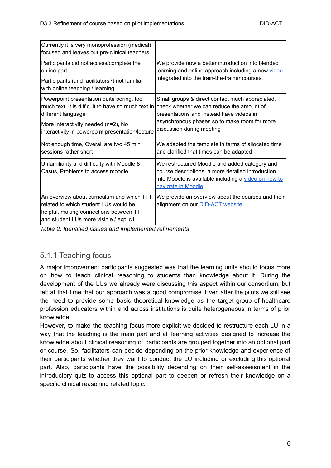| Currently it is very monoprofession (medical)<br>focused and leaves out pre-clinical teachers                                                                              |                                                                                                                                                                                   |  |
|----------------------------------------------------------------------------------------------------------------------------------------------------------------------------|-----------------------------------------------------------------------------------------------------------------------------------------------------------------------------------|--|
| Participants did not access/complete the                                                                                                                                   | We provide now a better introduction into blended                                                                                                                                 |  |
| online part                                                                                                                                                                | learning and online approach including a new video                                                                                                                                |  |
| Participants (and facilitators?) not familiar<br>with online teaching / learning                                                                                           | integrated into the train-the-trainer courses.                                                                                                                                    |  |
| Powerpoint presentation quite boring, too                                                                                                                                  | Small groups & direct contact much appreciated,                                                                                                                                   |  |
| much text, it is difficult to have so much text in                                                                                                                         | check whether we can reduce the amount of                                                                                                                                         |  |
| different language                                                                                                                                                         | presentations and instead have videos in                                                                                                                                          |  |
| More interactivity needed (n=2), No                                                                                                                                        | asynchronous phases so to make room for more                                                                                                                                      |  |
| interactivity in powerpoint presentation/lecture                                                                                                                           | discussion during meeting                                                                                                                                                         |  |
| Not enough time, Overall are two 45 min                                                                                                                                    | We adapted the template in terms of allocated time                                                                                                                                |  |
| sessions rather short                                                                                                                                                      | and clarified that times can be adapted                                                                                                                                           |  |
| Unfamiliarity and difficulty with Moodle &<br>Casus, Problems to access moodle                                                                                             | We restructured Moodle and added category and<br>course descriptions, a more detailed introduction<br>into Moodle is available including a video on how to<br>navigate in Moodle. |  |
| An overview about curriculum and which TTT<br>Irelated to which student LUs would be<br>helpful, making connections between TTT<br>and student LUs more visible / explicit | We provide an overview about the courses and their<br>alignment on our <b>DID-ACT</b> website.                                                                                    |  |

*Table 2: Identified issues and implemented refinements*

### <span id="page-5-0"></span>5.1.1 Teaching focus

A major improvement participants suggested was that the learning units should focus more on how to teach clinical reasoning to students than knowledge about it. During the development of the LUs we already were discussing this aspect within our consortium, but felt at that time that our approach was a good compromise. Even after the pilots we still see the need to provide some basic theoretical knowledge as the target group of healthcare profession educators within and across institutions is quite heterogeneous in terms of prior knowledge.

However, to make the teaching focus more explicit we decided to restructure each LU in a way that the teaching is the main part and all learning activities designed to increase the knowledge about clinical reasoning of participants are grouped together into an optional part or course. So, facilitators can decide depending on the prior knowledge and experience of their participants whether they want to conduct the LU including or excluding this optional part. Also, participants have the possibility depending on their self-assessment in the introductory quiz to access this optional part to deepen or refresh their knowledge on a specific clinical reasoning related topic.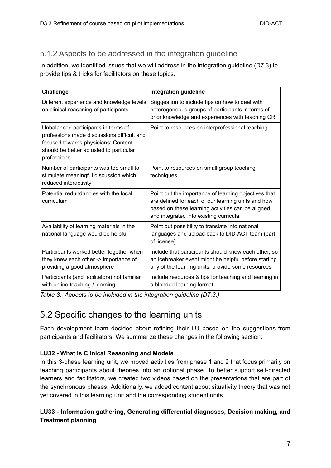### <span id="page-6-0"></span>5.1.2 Aspects to be addressed in the integration guideline

In addition, we identified issues that we will address in the integration guideline (D7.3) to provide tips & tricks for facilitators on these topics.

| <b>Challenge</b>                                                                                                                                                                   | <b>Integration guideline</b>                                                                                                                                                                               |
|------------------------------------------------------------------------------------------------------------------------------------------------------------------------------------|------------------------------------------------------------------------------------------------------------------------------------------------------------------------------------------------------------|
| Different experience and knowledge levels<br>on clinical reasoning of participants                                                                                                 | Suggestion to include tips on how to deal with<br>heterogeneous groups of participants in terms of<br>prior knowledge and experiences with teaching CR                                                     |
| Unbalanced participants in terms of<br>professions made discussions difficult and<br>focused towards physicians; Content<br>should be better adjusted to particular<br>professions | Point to resources on interprofessional teaching                                                                                                                                                           |
| Number of participants was too small to<br>stimulate meaningful discussion which<br>reduced interactivity                                                                          | Point to resources on small group teaching<br>techniques                                                                                                                                                   |
| Potential redundancies with the local<br>curriculum                                                                                                                                | Point out the importance of learning objectives that<br>are defined for each of our learning units and how<br>based on these learning activities can be aligned<br>and integrated into existing curricula. |
| Availability of learning materials in the<br>national language would be helpful                                                                                                    | Point out possibility to translate into national<br>languages and upload back to DID-ACT team (part<br>of license)                                                                                         |
| Participants worked better together when<br>they knew each other -> importance of<br>providing a good atmosphere                                                                   | Include that participants should know each other, so<br>an icebreaker event might be helpful before starting<br>any of the learning units, provide some resources                                          |
| Participants (and facilitators) not familiar<br>with online teaching / learning                                                                                                    | Include resources & tips for teaching and learning in<br>a blended learning format                                                                                                                         |

<span id="page-6-1"></span>*Table 3: Aspects to be included in the integration guideline (D7.3.)*

## 5.2 Specific changes to the learning units

Each development team decided about refining their LU based on the suggestions from participants and facilitators. We summarize these changes in the following section:

### **LU32 - What is Clinical Reasoning and Models**

In this 3-phase learning unit, we moved activities from phase 1 and 2 that focus primarily on teaching participants about theories into an optional phase. To better support self-directed learners and facilitators, we created two videos based on the presentations that are part of the synchronous phases. Additionally, we added content about situativity theory that was not yet covered in this learning unit and the corresponding student units.

### **LU33 - Information gathering, Generating differential diagnoses, Decision making, and Treatment planning**